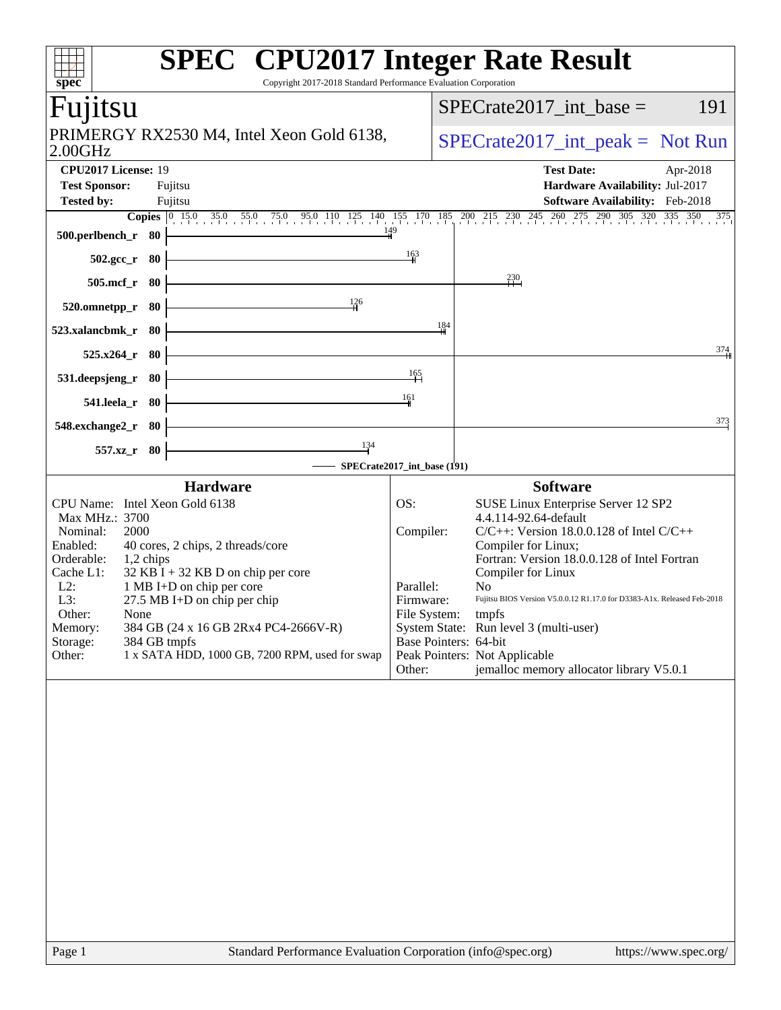| spec <sup>®</sup>                                                                                                                                                                                                                                                                                                                                                                                                                                | <b>SPEC<sup>®</sup></b> CPU2017 Integer Rate Result<br>Copyright 2017-2018 Standard Performance Evaluation Corporation                                                                                                                                                                                                                                                                                                                                                                                                                   |  |  |  |
|--------------------------------------------------------------------------------------------------------------------------------------------------------------------------------------------------------------------------------------------------------------------------------------------------------------------------------------------------------------------------------------------------------------------------------------------------|------------------------------------------------------------------------------------------------------------------------------------------------------------------------------------------------------------------------------------------------------------------------------------------------------------------------------------------------------------------------------------------------------------------------------------------------------------------------------------------------------------------------------------------|--|--|--|
| Fuµtsu                                                                                                                                                                                                                                                                                                                                                                                                                                           | 191<br>$SPECrate2017\_int\_base =$                                                                                                                                                                                                                                                                                                                                                                                                                                                                                                       |  |  |  |
| PRIMERGY RX2530 M4, Intel Xeon Gold 6138,<br>$2.00$ GHz                                                                                                                                                                                                                                                                                                                                                                                          | $SPECrate2017\_int\_peak = Not Run$                                                                                                                                                                                                                                                                                                                                                                                                                                                                                                      |  |  |  |
| CPU2017 License: 19<br><b>Test Sponsor:</b><br>Fujitsu                                                                                                                                                                                                                                                                                                                                                                                           | <b>Test Date:</b><br>Apr-2018<br>Hardware Availability: Jul-2017                                                                                                                                                                                                                                                                                                                                                                                                                                                                         |  |  |  |
| <b>Tested by:</b><br>Fujitsu                                                                                                                                                                                                                                                                                                                                                                                                                     | Software Availability: Feb-2018<br><b>Copies</b> 0 15.0 35.0 55.0 75.0 95.0 110 125 140 155 170 185 200 215 230 245 260 275 290 305 320 335 350<br>375                                                                                                                                                                                                                                                                                                                                                                                   |  |  |  |
| 500.perlbench_r 80<br>$502.\text{gcc}_r$ 80                                                                                                                                                                                                                                                                                                                                                                                                      | 149<br>$\frac{163}{2}$                                                                                                                                                                                                                                                                                                                                                                                                                                                                                                                   |  |  |  |
| $505$ .mcf_r<br>- 80                                                                                                                                                                                                                                                                                                                                                                                                                             | 230                                                                                                                                                                                                                                                                                                                                                                                                                                                                                                                                      |  |  |  |
| 126<br>520.omnetpp_r<br>- 80                                                                                                                                                                                                                                                                                                                                                                                                                     |                                                                                                                                                                                                                                                                                                                                                                                                                                                                                                                                          |  |  |  |
| 523.xalancbmk r<br>- 80                                                                                                                                                                                                                                                                                                                                                                                                                          | 184                                                                                                                                                                                                                                                                                                                                                                                                                                                                                                                                      |  |  |  |
| $525.x264$ _r<br>- 80                                                                                                                                                                                                                                                                                                                                                                                                                            | 374                                                                                                                                                                                                                                                                                                                                                                                                                                                                                                                                      |  |  |  |
| 531.deepsjeng_r<br>- 80                                                                                                                                                                                                                                                                                                                                                                                                                          | 165<br>161                                                                                                                                                                                                                                                                                                                                                                                                                                                                                                                               |  |  |  |
| 541.leela_r 80<br>548.exchange2_r<br>- 80                                                                                                                                                                                                                                                                                                                                                                                                        | 373                                                                                                                                                                                                                                                                                                                                                                                                                                                                                                                                      |  |  |  |
| 134<br>557.xz_r 80                                                                                                                                                                                                                                                                                                                                                                                                                               |                                                                                                                                                                                                                                                                                                                                                                                                                                                                                                                                          |  |  |  |
| <b>Hardware</b>                                                                                                                                                                                                                                                                                                                                                                                                                                  | SPECrate2017_int_base (191)<br><b>Software</b>                                                                                                                                                                                                                                                                                                                                                                                                                                                                                           |  |  |  |
| CPU Name: Intel Xeon Gold 6138<br>Max MHz.: 3700<br>Nominal:<br>2000<br>Enabled:<br>40 cores, 2 chips, 2 threads/core<br>Orderable:<br>1,2 chips<br>$32$ KB I + 32 KB D on chip per core<br>Cache L1:<br>1 MB I+D on chip per core<br>$L2$ :<br>27.5 MB I+D on chip per chip<br>L3:<br>Other:<br>None<br>384 GB (24 x 16 GB 2Rx4 PC4-2666V-R)<br>Memory:<br>Storage:<br>384 GB tmpfs<br>1 x SATA HDD, 1000 GB, 7200 RPM, used for swap<br>Other: | OS:<br>SUSE Linux Enterprise Server 12 SP2<br>4.4.114-92.64-default<br>$C/C++$ : Version 18.0.0.128 of Intel $C/C++$<br>Compiler:<br>Compiler for Linux;<br>Fortran: Version 18.0.0.128 of Intel Fortran<br>Compiler for Linux<br>Parallel:<br>N <sub>0</sub><br>Firmware:<br>Fujitsu BIOS Version V5.0.0.12 R1.17.0 for D3383-A1x. Released Feb-2018<br>File System:<br>tmpfs<br>System State: Run level 3 (multi-user)<br>Base Pointers: 64-bit<br>Peak Pointers: Not Applicable<br>jemalloc memory allocator library V5.0.1<br>Other: |  |  |  |
|                                                                                                                                                                                                                                                                                                                                                                                                                                                  |                                                                                                                                                                                                                                                                                                                                                                                                                                                                                                                                          |  |  |  |
|                                                                                                                                                                                                                                                                                                                                                                                                                                                  |                                                                                                                                                                                                                                                                                                                                                                                                                                                                                                                                          |  |  |  |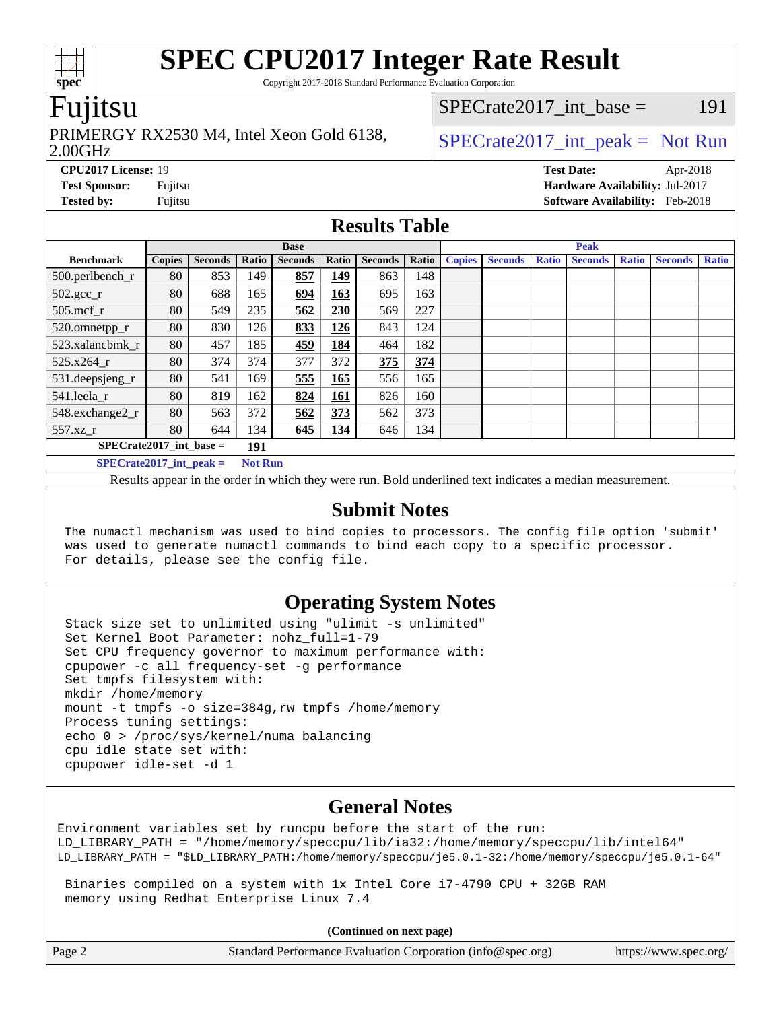Copyright 2017-2018 Standard Performance Evaluation Corporation

### Fujitsu

#### 2.00GHz PRIMERGY RX2530 M4, Intel Xeon Gold 6138,  $\big|$  [SPECrate2017\\_int\\_peak =](http://www.spec.org/auto/cpu2017/Docs/result-fields.html#SPECrate2017intpeak) Not Run

 $SPECTate2017\_int\_base = 191$ 

**[CPU2017 License:](http://www.spec.org/auto/cpu2017/Docs/result-fields.html#CPU2017License)** 19 **[Test Date:](http://www.spec.org/auto/cpu2017/Docs/result-fields.html#TestDate)** Apr-2018 **[Test Sponsor:](http://www.spec.org/auto/cpu2017/Docs/result-fields.html#TestSponsor)** Fujitsu **[Hardware Availability:](http://www.spec.org/auto/cpu2017/Docs/result-fields.html#HardwareAvailability)** Jul-2017 **[Tested by:](http://www.spec.org/auto/cpu2017/Docs/result-fields.html#Testedby)** Fujitsu **[Software Availability:](http://www.spec.org/auto/cpu2017/Docs/result-fields.html#SoftwareAvailability)** Feb-2018

### **[Results Table](http://www.spec.org/auto/cpu2017/Docs/result-fields.html#ResultsTable)**

|                                             | <b>Base</b>   |                |       |                |            |                | <b>Peak</b> |               |                |              |                |              |                |              |
|---------------------------------------------|---------------|----------------|-------|----------------|------------|----------------|-------------|---------------|----------------|--------------|----------------|--------------|----------------|--------------|
| <b>Benchmark</b>                            | <b>Copies</b> | <b>Seconds</b> | Ratio | <b>Seconds</b> | Ratio      | <b>Seconds</b> | Ratio       | <b>Copies</b> | <b>Seconds</b> | <b>Ratio</b> | <b>Seconds</b> | <b>Ratio</b> | <b>Seconds</b> | <b>Ratio</b> |
| 500.perlbench_r                             | 80            | 853            | 149   | 857            | 149        | 863            | 148         |               |                |              |                |              |                |              |
| $502.\text{sec}$                            | 80            | 688            | 165   | 694            | <u>163</u> | 695            | 163         |               |                |              |                |              |                |              |
| $505$ .mcf r                                | 80            | 549            | 235   | 562            | 230        | 569            | 227         |               |                |              |                |              |                |              |
| 520.omnetpp_r                               | 80            | 830            | 126   | 833            | 126        | 843            | 124         |               |                |              |                |              |                |              |
| 523.xalancbmk r                             | 80            | 457            | 185   | 459            | 184        | 464            | 182         |               |                |              |                |              |                |              |
| 525.x264 r                                  | 80            | 374            | 374   | 377            | 372        | 375            | 374         |               |                |              |                |              |                |              |
| 531.deepsjeng_r                             | 80            | 541            | 169   | 555            | 165        | 556            | 165         |               |                |              |                |              |                |              |
| 541.leela r                                 | 80            | 819            | 162   | 824            | <b>161</b> | 826            | 160         |               |                |              |                |              |                |              |
| 548.exchange2_r                             | 80            | 563            | 372   | 562            | 373        | 562            | 373         |               |                |              |                |              |                |              |
| 557.xz r                                    | 80            | 644            | 134   | 645            | 134        | 646            | 134         |               |                |              |                |              |                |              |
| $SPECrate2017$ int base =<br>191            |               |                |       |                |            |                |             |               |                |              |                |              |                |              |
| $SPECrate2017$ int peak =<br><b>Not Run</b> |               |                |       |                |            |                |             |               |                |              |                |              |                |              |

Results appear in the [order in which they were run](http://www.spec.org/auto/cpu2017/Docs/result-fields.html#RunOrder). Bold underlined text [indicates a median measurement](http://www.spec.org/auto/cpu2017/Docs/result-fields.html#Median).

### **[Submit Notes](http://www.spec.org/auto/cpu2017/Docs/result-fields.html#SubmitNotes)**

 The numactl mechanism was used to bind copies to processors. The config file option 'submit' was used to generate numactl commands to bind each copy to a specific processor. For details, please see the config file.

### **[Operating System Notes](http://www.spec.org/auto/cpu2017/Docs/result-fields.html#OperatingSystemNotes)**

 Stack size set to unlimited using "ulimit -s unlimited" Set Kernel Boot Parameter: nohz\_full=1-79 Set CPU frequency governor to maximum performance with: cpupower -c all frequency-set -g performance Set tmpfs filesystem with: mkdir /home/memory mount -t tmpfs -o size=384g,rw tmpfs /home/memory Process tuning settings: echo 0 > /proc/sys/kernel/numa\_balancing cpu idle state set with: cpupower idle-set -d 1

### **[General Notes](http://www.spec.org/auto/cpu2017/Docs/result-fields.html#GeneralNotes)**

Environment variables set by runcpu before the start of the run: LD\_LIBRARY\_PATH = "/home/memory/speccpu/lib/ia32:/home/memory/speccpu/lib/intel64" LD\_LIBRARY\_PATH = "\$LD\_LIBRARY\_PATH:/home/memory/speccpu/je5.0.1-32:/home/memory/speccpu/je5.0.1-64"

 Binaries compiled on a system with 1x Intel Core i7-4790 CPU + 32GB RAM memory using Redhat Enterprise Linux 7.4

**(Continued on next page)**

| Page 2<br>Standard Performance Evaluation Corporation (info@spec.org) | https://www.spec.org/ |
|-----------------------------------------------------------------------|-----------------------|
|-----------------------------------------------------------------------|-----------------------|

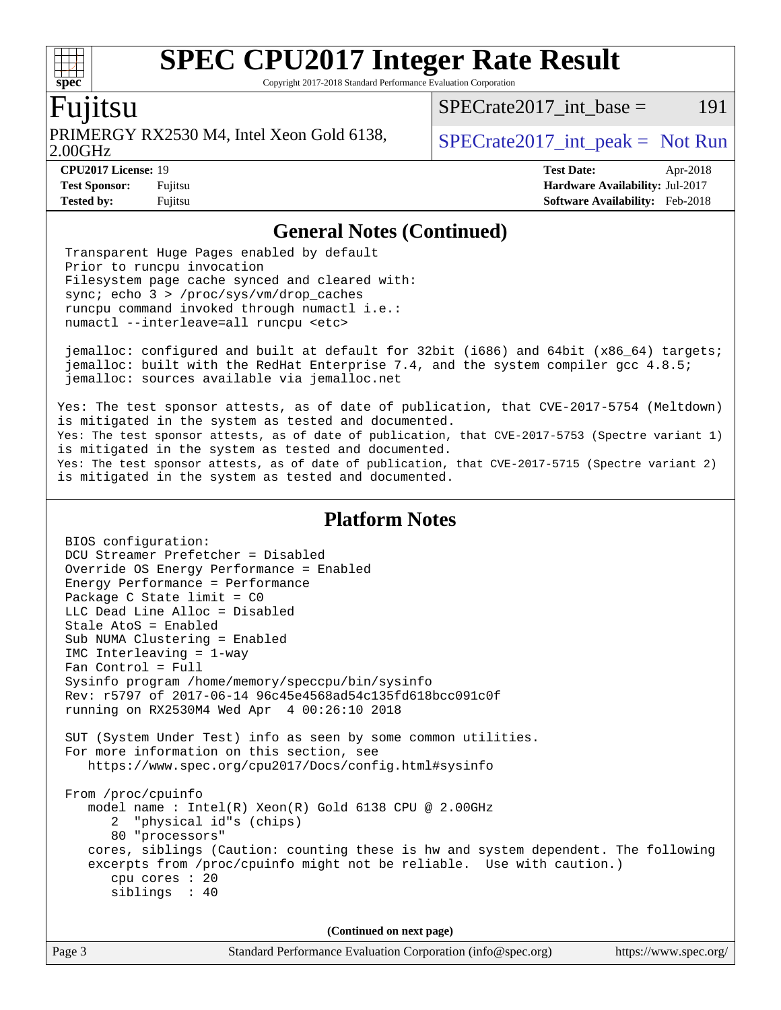Copyright 2017-2018 Standard Performance Evaluation Corporation

### Fujitsu

**[spec](http://www.spec.org/)**

2.00GHz PRIMERGY RX2530 M4, Intel Xeon Gold 6138,  $\big|$  [SPECrate2017\\_int\\_peak =](http://www.spec.org/auto/cpu2017/Docs/result-fields.html#SPECrate2017intpeak) Not Run

 $SPECTate2017\_int\_base = 191$ 

**[Tested by:](http://www.spec.org/auto/cpu2017/Docs/result-fields.html#Testedby)** Fujitsu **[Software Availability:](http://www.spec.org/auto/cpu2017/Docs/result-fields.html#SoftwareAvailability)** Feb-2018

**[CPU2017 License:](http://www.spec.org/auto/cpu2017/Docs/result-fields.html#CPU2017License)** 19 **[Test Date:](http://www.spec.org/auto/cpu2017/Docs/result-fields.html#TestDate)** Apr-2018 **[Test Sponsor:](http://www.spec.org/auto/cpu2017/Docs/result-fields.html#TestSponsor)** Fujitsu **[Hardware Availability:](http://www.spec.org/auto/cpu2017/Docs/result-fields.html#HardwareAvailability)** Jul-2017

### **[General Notes \(Continued\)](http://www.spec.org/auto/cpu2017/Docs/result-fields.html#GeneralNotes)**

 Transparent Huge Pages enabled by default Prior to runcpu invocation Filesystem page cache synced and cleared with: sync; echo 3 > /proc/sys/vm/drop\_caches runcpu command invoked through numactl i.e.: numactl --interleave=all runcpu <etc>

 jemalloc: configured and built at default for 32bit (i686) and 64bit (x86\_64) targets; jemalloc: built with the RedHat Enterprise 7.4, and the system compiler gcc 4.8.5; jemalloc: sources available via jemalloc.net

Yes: The test sponsor attests, as of date of publication, that CVE-2017-5754 (Meltdown) is mitigated in the system as tested and documented. Yes: The test sponsor attests, as of date of publication, that CVE-2017-5753 (Spectre variant 1) is mitigated in the system as tested and documented. Yes: The test sponsor attests, as of date of publication, that CVE-2017-5715 (Spectre variant 2) is mitigated in the system as tested and documented.

### **[Platform Notes](http://www.spec.org/auto/cpu2017/Docs/result-fields.html#PlatformNotes)**

 BIOS configuration: DCU Streamer Prefetcher = Disabled Override OS Energy Performance = Enabled Energy Performance = Performance Package C State limit = C0 LLC Dead Line Alloc = Disabled Stale AtoS = Enabled Sub NUMA Clustering = Enabled IMC Interleaving = 1-way Fan Control = Full Sysinfo program /home/memory/speccpu/bin/sysinfo Rev: r5797 of 2017-06-14 96c45e4568ad54c135fd618bcc091c0f running on RX2530M4 Wed Apr 4 00:26:10 2018 SUT (System Under Test) info as seen by some common utilities. For more information on this section, see <https://www.spec.org/cpu2017/Docs/config.html#sysinfo> From /proc/cpuinfo model name : Intel(R) Xeon(R) Gold 6138 CPU @ 2.00GHz 2 "physical id"s (chips) 80 "processors" cores, siblings (Caution: counting these is hw and system dependent. The following excerpts from /proc/cpuinfo might not be reliable. Use with caution.) cpu cores : 20 siblings : 40 **(Continued on next page)**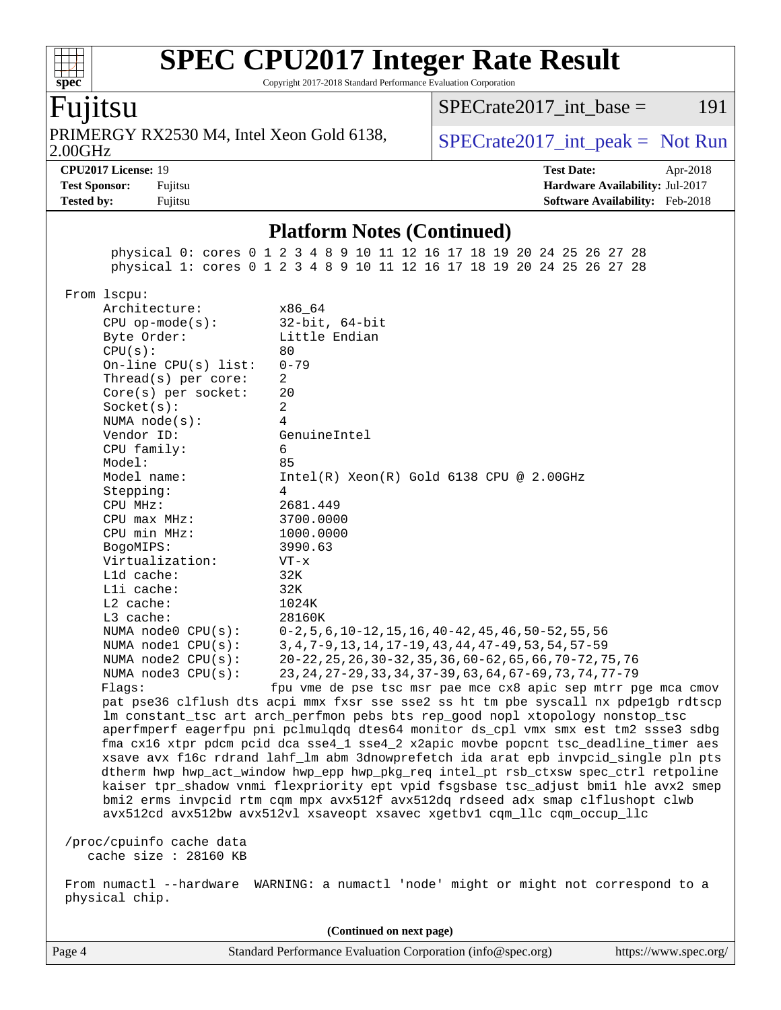Copyright 2017-2018 Standard Performance Evaluation Corporation

# Fujitsu

**[spec](http://www.spec.org/)**

2.00GHz PRIMERGY RX2530 M4, Intel Xeon Gold 6138,  $\big|$  [SPECrate2017\\_int\\_peak =](http://www.spec.org/auto/cpu2017/Docs/result-fields.html#SPECrate2017intpeak) Not Run

 $SPECTate2017\_int\_base = 191$ 

**[Tested by:](http://www.spec.org/auto/cpu2017/Docs/result-fields.html#Testedby)** Fujitsu **Fugital Example 2018 [Software Availability:](http://www.spec.org/auto/cpu2017/Docs/result-fields.html#SoftwareAvailability)** Feb-2018

**[CPU2017 License:](http://www.spec.org/auto/cpu2017/Docs/result-fields.html#CPU2017License)** 19 **[Test Date:](http://www.spec.org/auto/cpu2017/Docs/result-fields.html#TestDate)** Apr-2018 **[Test Sponsor:](http://www.spec.org/auto/cpu2017/Docs/result-fields.html#TestSponsor)** Fujitsu **[Hardware Availability:](http://www.spec.org/auto/cpu2017/Docs/result-fields.html#HardwareAvailability)** Jul-2017

### **[Platform Notes \(Continued\)](http://www.spec.org/auto/cpu2017/Docs/result-fields.html#PlatformNotes)**

 physical 0: cores 0 1 2 3 4 8 9 10 11 12 16 17 18 19 20 24 25 26 27 28 physical 1: cores 0 1 2 3 4 8 9 10 11 12 16 17 18 19 20 24 25 26 27 28

From lscpu:

|  | LLULL LUUPU.                                                                                                                                                                                                                                                        |                                                                                     |  |  |  |  |
|--|---------------------------------------------------------------------------------------------------------------------------------------------------------------------------------------------------------------------------------------------------------------------|-------------------------------------------------------------------------------------|--|--|--|--|
|  | Architecture:                                                                                                                                                                                                                                                       | x86 64                                                                              |  |  |  |  |
|  | $CPU$ op-mode( $s$ ):                                                                                                                                                                                                                                               | $32$ -bit, $64$ -bit                                                                |  |  |  |  |
|  | Byte Order:                                                                                                                                                                                                                                                         | Little Endian                                                                       |  |  |  |  |
|  | CPU(s):                                                                                                                                                                                                                                                             | 80                                                                                  |  |  |  |  |
|  | On-line CPU(s) list:                                                                                                                                                                                                                                                | $0 - 79$                                                                            |  |  |  |  |
|  | Thread( $s$ ) per core:                                                                                                                                                                                                                                             | 2                                                                                   |  |  |  |  |
|  | Core(s) per socket:                                                                                                                                                                                                                                                 | 20                                                                                  |  |  |  |  |
|  | Socket(s):                                                                                                                                                                                                                                                          | $\overline{2}$                                                                      |  |  |  |  |
|  | NUMA $node(s)$ :                                                                                                                                                                                                                                                    | 4                                                                                   |  |  |  |  |
|  | Vendor ID:                                                                                                                                                                                                                                                          | GenuineIntel                                                                        |  |  |  |  |
|  | CPU family:                                                                                                                                                                                                                                                         | 6                                                                                   |  |  |  |  |
|  | Model:                                                                                                                                                                                                                                                              | 85                                                                                  |  |  |  |  |
|  | Model name:                                                                                                                                                                                                                                                         | $Intel(R) Xeon(R) Gold 6138 CPU @ 2.00GHz$                                          |  |  |  |  |
|  | Stepping:                                                                                                                                                                                                                                                           | $\overline{4}$                                                                      |  |  |  |  |
|  | CPU MHz:                                                                                                                                                                                                                                                            | 2681.449                                                                            |  |  |  |  |
|  | $CPU$ max $MHz$ :                                                                                                                                                                                                                                                   | 3700.0000                                                                           |  |  |  |  |
|  | CPU min MHz:                                                                                                                                                                                                                                                        | 1000.0000                                                                           |  |  |  |  |
|  | BogoMIPS:                                                                                                                                                                                                                                                           | 3990.63                                                                             |  |  |  |  |
|  | Virtualization:                                                                                                                                                                                                                                                     | $VT - x$                                                                            |  |  |  |  |
|  | L1d cache:                                                                                                                                                                                                                                                          | 32K                                                                                 |  |  |  |  |
|  | Lli cache:                                                                                                                                                                                                                                                          | 32K                                                                                 |  |  |  |  |
|  | L2 cache:                                                                                                                                                                                                                                                           | 1024K                                                                               |  |  |  |  |
|  | $L3$ cache:                                                                                                                                                                                                                                                         | 28160K                                                                              |  |  |  |  |
|  | NUMA node0 CPU(s):                                                                                                                                                                                                                                                  | $0-2, 5, 6, 10-12, 15, 16, 40-42, 45, 46, 50-52, 55, 56$                            |  |  |  |  |
|  | NUMA nodel CPU(s):                                                                                                                                                                                                                                                  | 3, 4, 7-9, 13, 14, 17-19, 43, 44, 47-49, 53, 54, 57-59                              |  |  |  |  |
|  | NUMA node2 CPU(s):                                                                                                                                                                                                                                                  | 20-22, 25, 26, 30-32, 35, 36, 60-62, 65, 66, 70-72, 75, 76                          |  |  |  |  |
|  | NUMA node3 CPU(s):                                                                                                                                                                                                                                                  | 23, 24, 27-29, 33, 34, 37-39, 63, 64, 67-69, 73, 74, 77-79                          |  |  |  |  |
|  | Flags:                                                                                                                                                                                                                                                              | fpu vme de pse tsc msr pae mce cx8 apic sep mtrr pge mca cmov                       |  |  |  |  |
|  |                                                                                                                                                                                                                                                                     | pat pse36 clflush dts acpi mmx fxsr sse sse2 ss ht tm pbe syscall nx pdpe1gb rdtscp |  |  |  |  |
|  |                                                                                                                                                                                                                                                                     | lm constant_tsc art arch_perfmon pebs bts rep_good nopl xtopology nonstop_tsc       |  |  |  |  |
|  |                                                                                                                                                                                                                                                                     | aperfmperf eagerfpu pni pclmulqdq dtes64 monitor ds_cpl vmx smx est tm2 ssse3 sdbg  |  |  |  |  |
|  | fma cx16 xtpr pdcm pcid dca sse4_1 sse4_2 x2apic movbe popcnt tsc_deadline_timer aes<br>xsave avx f16c rdrand lahf_lm abm 3dnowprefetch ida arat epb invpcid_single pln pts<br>dtherm hwp hwp_act_window hwp_epp hwp_pkg_req intel_pt rsb_ctxsw spec_ctrl retpoline |                                                                                     |  |  |  |  |
|  |                                                                                                                                                                                                                                                                     |                                                                                     |  |  |  |  |
|  |                                                                                                                                                                                                                                                                     |                                                                                     |  |  |  |  |
|  |                                                                                                                                                                                                                                                                     | kaiser tpr_shadow vnmi flexpriority ept vpid fsgsbase tsc_adjust bmil hle avx2 smep |  |  |  |  |
|  |                                                                                                                                                                                                                                                                     | bmi2 erms invpcid rtm cqm mpx avx512f avx512dq rdseed adx smap clflushopt clwb      |  |  |  |  |
|  |                                                                                                                                                                                                                                                                     | avx512cd avx512bw avx512vl xsaveopt xsavec xgetbv1 cqm_llc cqm_occup_llc            |  |  |  |  |
|  |                                                                                                                                                                                                                                                                     |                                                                                     |  |  |  |  |
|  | /proc/cpuinfo cache data                                                                                                                                                                                                                                            |                                                                                     |  |  |  |  |
|  | cache size : $28160$ KB                                                                                                                                                                                                                                             |                                                                                     |  |  |  |  |
|  |                                                                                                                                                                                                                                                                     |                                                                                     |  |  |  |  |

 From numactl --hardware WARNING: a numactl 'node' might or might not correspond to a physical chip.

Page 4 Standard Performance Evaluation Corporation [\(info@spec.org\)](mailto:info@spec.org) <https://www.spec.org/> **(Continued on next page)**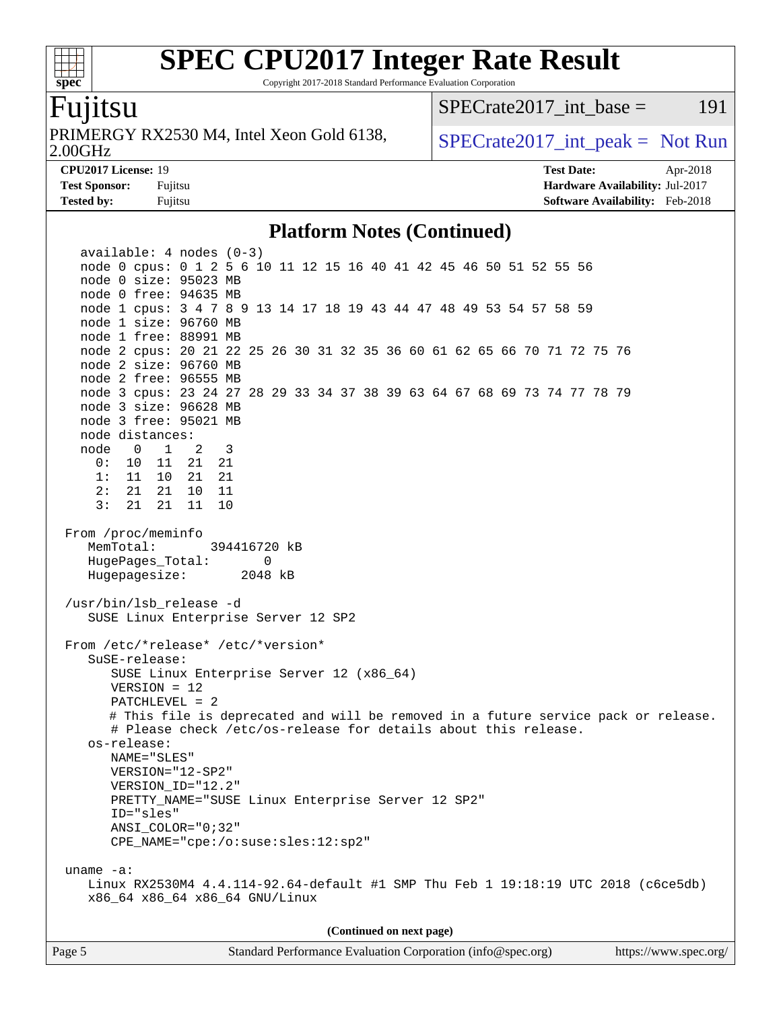Copyright 2017-2018 Standard Performance Evaluation Corporation

### Fujitsu

**[spec](http://www.spec.org/)**

 $+\ +$ 

2.00GHz PRIMERGY RX2530 M4, Intel Xeon Gold 6138,  $\vert$  [SPECrate2017\\_int\\_peak =](http://www.spec.org/auto/cpu2017/Docs/result-fields.html#SPECrate2017intpeak) Not Run

 $SPECTate2017\_int\_base = 191$ 

**[CPU2017 License:](http://www.spec.org/auto/cpu2017/Docs/result-fields.html#CPU2017License)** 19 **[Test Date:](http://www.spec.org/auto/cpu2017/Docs/result-fields.html#TestDate)** Apr-2018 **[Test Sponsor:](http://www.spec.org/auto/cpu2017/Docs/result-fields.html#TestSponsor)** Fujitsu **[Hardware Availability:](http://www.spec.org/auto/cpu2017/Docs/result-fields.html#HardwareAvailability)** Jul-2017 **[Tested by:](http://www.spec.org/auto/cpu2017/Docs/result-fields.html#Testedby)** Fujitsu **Fugital Example 2018 [Software Availability:](http://www.spec.org/auto/cpu2017/Docs/result-fields.html#SoftwareAvailability)** Feb-2018

### **[Platform Notes \(Continued\)](http://www.spec.org/auto/cpu2017/Docs/result-fields.html#PlatformNotes)**

 available: 4 nodes (0-3) node 0 cpus: 0 1 2 5 6 10 11 12 15 16 40 41 42 45 46 50 51 52 55 56 node 0 size: 95023 MB node 0 free: 94635 MB node 1 cpus: 3 4 7 8 9 13 14 17 18 19 43 44 47 48 49 53 54 57 58 59 node 1 size: 96760 MB node 1 free: 88991 MB node 2 cpus: 20 21 22 25 26 30 31 32 35 36 60 61 62 65 66 70 71 72 75 76 node 2 size: 96760 MB node 2 free: 96555 MB node 3 cpus: 23 24 27 28 29 33 34 37 38 39 63 64 67 68 69 73 74 77 78 79 node 3 size: 96628 MB node 3 free: 95021 MB node distances: node 0 1 2 3 0: 10 11 21 21 1: 11 10 21 21 2: 21 21 10 11 3: 21 21 11 10 From /proc/meminfo MemTotal: 394416720 kB HugePages\_Total: 0 Hugepagesize: 2048 kB /usr/bin/lsb\_release -d SUSE Linux Enterprise Server 12 SP2 From /etc/\*release\* /etc/\*version\* SuSE-release: SUSE Linux Enterprise Server 12 (x86\_64) VERSION = 12 PATCHLEVEL = 2 # This file is deprecated and will be removed in a future service pack or release. # Please check /etc/os-release for details about this release. os-release: NAME="SLES" VERSION="12-SP2" VERSION\_ID="12.2" PRETTY\_NAME="SUSE Linux Enterprise Server 12 SP2" ID="sles" ANSI\_COLOR="0;32" CPE\_NAME="cpe:/o:suse:sles:12:sp2" uname -a: Linux RX2530M4 4.4.114-92.64-default #1 SMP Thu Feb 1 19:18:19 UTC 2018 (c6ce5db) x86\_64 x86\_64 x86\_64 GNU/Linux **(Continued on next page)**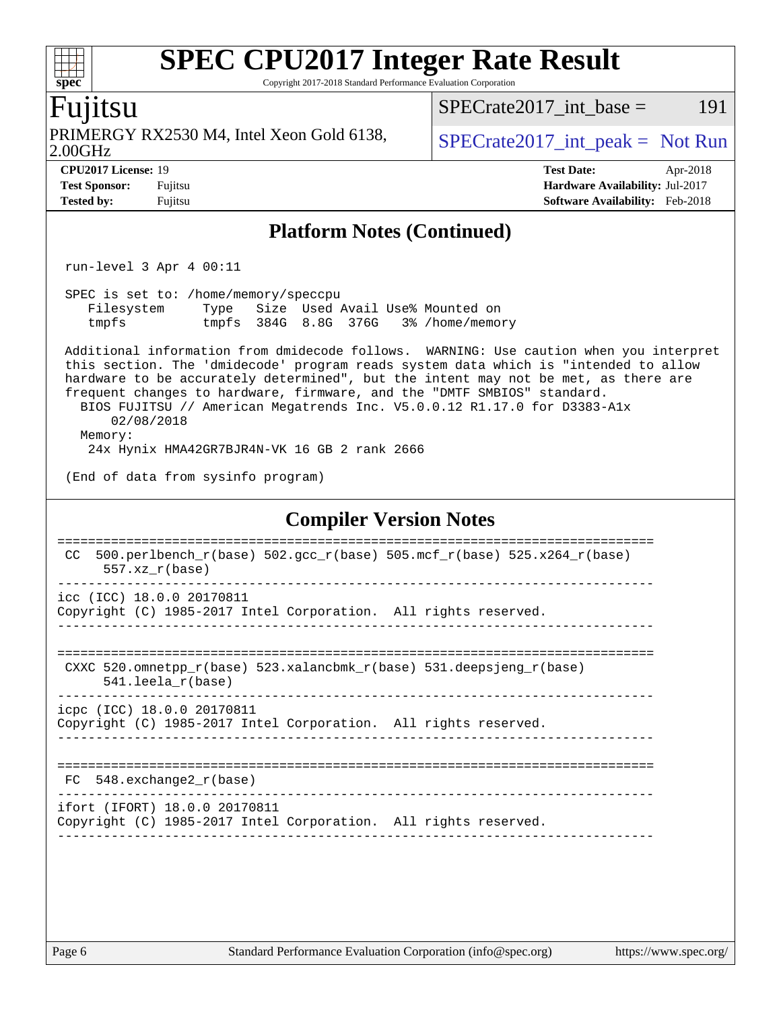Copyright 2017-2018 Standard Performance Evaluation Corporation

### Fujitsu

**[spec](http://www.spec.org/)**

 $+\prime$ 

2.00GHz PRIMERGY RX2530 M4, Intel Xeon Gold 6138,  $\vert$  [SPECrate2017\\_int\\_peak =](http://www.spec.org/auto/cpu2017/Docs/result-fields.html#SPECrate2017intpeak) Not Run

 $SPECTate2017\_int\_base = 191$ 

**[CPU2017 License:](http://www.spec.org/auto/cpu2017/Docs/result-fields.html#CPU2017License)** 19 **[Test Date:](http://www.spec.org/auto/cpu2017/Docs/result-fields.html#TestDate)** Apr-2018 **[Test Sponsor:](http://www.spec.org/auto/cpu2017/Docs/result-fields.html#TestSponsor)** Fujitsu **[Hardware Availability:](http://www.spec.org/auto/cpu2017/Docs/result-fields.html#HardwareAvailability)** Jul-2017 **[Tested by:](http://www.spec.org/auto/cpu2017/Docs/result-fields.html#Testedby)** Fujitsu **[Software Availability:](http://www.spec.org/auto/cpu2017/Docs/result-fields.html#SoftwareAvailability)** Feb-2018

### **[Platform Notes \(Continued\)](http://www.spec.org/auto/cpu2017/Docs/result-fields.html#PlatformNotes)**

run-level 3 Apr 4 00:11

 SPEC is set to: /home/memory/speccpu Filesystem Type Size Used Avail Use% Mounted on tmpfs tmpfs 384G 8.8G 376G 3% /home/memory

 Additional information from dmidecode follows. WARNING: Use caution when you interpret this section. The 'dmidecode' program reads system data which is "intended to allow hardware to be accurately determined", but the intent may not be met, as there are frequent changes to hardware, firmware, and the "DMTF SMBIOS" standard. BIOS FUJITSU // American Megatrends Inc. V5.0.0.12 R1.17.0 for D3383-A1x 02/08/2018 Memory:

24x Hynix HMA42GR7BJR4N-VK 16 GB 2 rank 2666

(End of data from sysinfo program)

### **[Compiler Version Notes](http://www.spec.org/auto/cpu2017/Docs/result-fields.html#CompilerVersionNotes)**

============================================================================== CC 500.perlbench  $r(base)$  502.gcc  $r(base)$  505.mcf  $r(base)$  525.x264  $r(base)$  557.xz\_r(base) ----------------------------------------------------------------------------- icc (ICC) 18.0.0 20170811 Copyright (C) 1985-2017 Intel Corporation. All rights reserved. ------------------------------------------------------------------------------ ============================================================================== CXXC 520.omnetpp\_r(base) 523.xalancbmk\_r(base) 531.deepsjeng\_r(base) 541.leela\_r(base) ----------------------------------------------------------------------------- icpc (ICC) 18.0.0 20170811 Copyright (C) 1985-2017 Intel Corporation. All rights reserved. ------------------------------------------------------------------------------ ============================================================================== FC 548.exchange2\_r(base) ----------------------------------------------------------------------------- ifort (IFORT) 18.0.0 20170811 Copyright (C) 1985-2017 Intel Corporation. All rights reserved. ------------------------------------------------------------------------------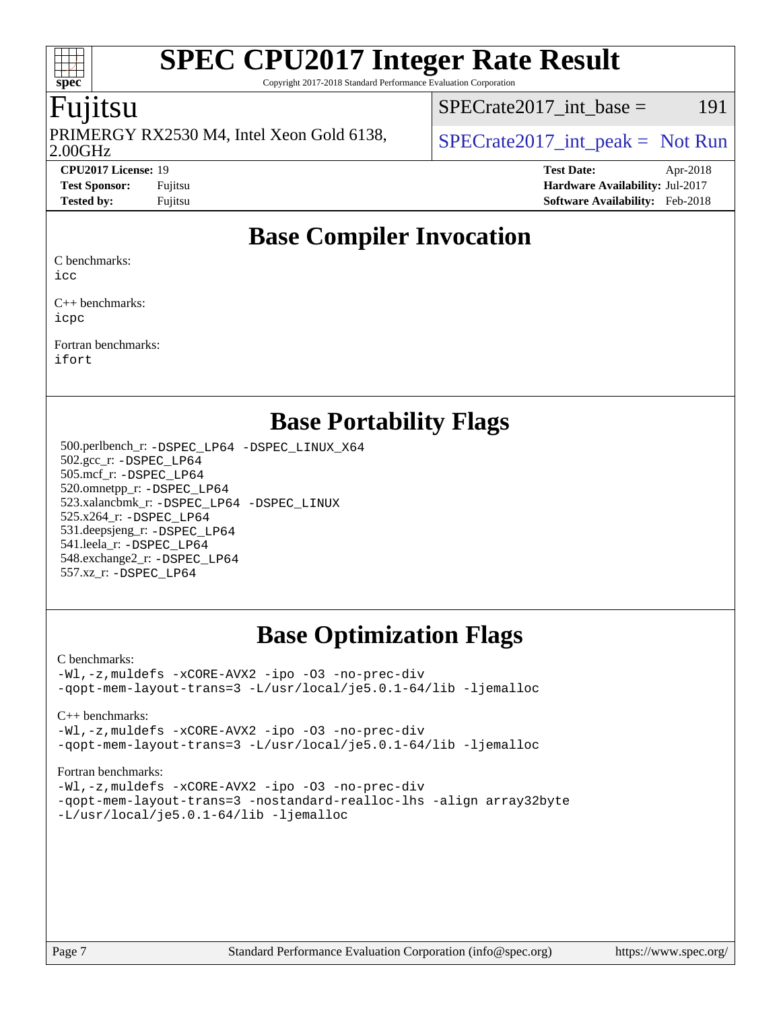Copyright 2017-2018 Standard Performance Evaluation Corporation

## Fujitsu

**[spec](http://www.spec.org/)**

 $\pm\pm$ 

2.00GHz PRIMERGY RX2530 M4, Intel Xeon Gold 6138,  $\big|$  [SPECrate2017\\_int\\_peak =](http://www.spec.org/auto/cpu2017/Docs/result-fields.html#SPECrate2017intpeak) Not Run

 $SPECTate2017\_int\_base = 191$ 

**[CPU2017 License:](http://www.spec.org/auto/cpu2017/Docs/result-fields.html#CPU2017License)** 19 **[Test Date:](http://www.spec.org/auto/cpu2017/Docs/result-fields.html#TestDate)** Apr-2018 **[Test Sponsor:](http://www.spec.org/auto/cpu2017/Docs/result-fields.html#TestSponsor)** Fujitsu **[Hardware Availability:](http://www.spec.org/auto/cpu2017/Docs/result-fields.html#HardwareAvailability)** Jul-2017 **[Tested by:](http://www.spec.org/auto/cpu2017/Docs/result-fields.html#Testedby)** Fujitsu **[Software Availability:](http://www.spec.org/auto/cpu2017/Docs/result-fields.html#SoftwareAvailability)** Feb-2018

# **[Base Compiler Invocation](http://www.spec.org/auto/cpu2017/Docs/result-fields.html#BaseCompilerInvocation)**

[C benchmarks:](http://www.spec.org/auto/cpu2017/Docs/result-fields.html#Cbenchmarks)

[icc](http://www.spec.org/cpu2017/results/res2018q2/cpu2017-20180417-05014.flags.html#user_CCbase_intel_icc_18.0_66fc1ee009f7361af1fbd72ca7dcefbb700085f36577c54f309893dd4ec40d12360134090235512931783d35fd58c0460139e722d5067c5574d8eaf2b3e37e92)

[C++ benchmarks](http://www.spec.org/auto/cpu2017/Docs/result-fields.html#CXXbenchmarks): [icpc](http://www.spec.org/cpu2017/results/res2018q2/cpu2017-20180417-05014.flags.html#user_CXXbase_intel_icpc_18.0_c510b6838c7f56d33e37e94d029a35b4a7bccf4766a728ee175e80a419847e808290a9b78be685c44ab727ea267ec2f070ec5dc83b407c0218cded6866a35d07)

[Fortran benchmarks:](http://www.spec.org/auto/cpu2017/Docs/result-fields.html#Fortranbenchmarks) [ifort](http://www.spec.org/cpu2017/results/res2018q2/cpu2017-20180417-05014.flags.html#user_FCbase_intel_ifort_18.0_8111460550e3ca792625aed983ce982f94888b8b503583aa7ba2b8303487b4d8a21a13e7191a45c5fd58ff318f48f9492884d4413fa793fd88dd292cad7027ca)

## **[Base Portability Flags](http://www.spec.org/auto/cpu2017/Docs/result-fields.html#BasePortabilityFlags)**

 500.perlbench\_r: [-DSPEC\\_LP64](http://www.spec.org/cpu2017/results/res2018q2/cpu2017-20180417-05014.flags.html#b500.perlbench_r_basePORTABILITY_DSPEC_LP64) [-DSPEC\\_LINUX\\_X64](http://www.spec.org/cpu2017/results/res2018q2/cpu2017-20180417-05014.flags.html#b500.perlbench_r_baseCPORTABILITY_DSPEC_LINUX_X64) 502.gcc\_r: [-DSPEC\\_LP64](http://www.spec.org/cpu2017/results/res2018q2/cpu2017-20180417-05014.flags.html#suite_basePORTABILITY502_gcc_r_DSPEC_LP64) 505.mcf\_r: [-DSPEC\\_LP64](http://www.spec.org/cpu2017/results/res2018q2/cpu2017-20180417-05014.flags.html#suite_basePORTABILITY505_mcf_r_DSPEC_LP64) 520.omnetpp\_r: [-DSPEC\\_LP64](http://www.spec.org/cpu2017/results/res2018q2/cpu2017-20180417-05014.flags.html#suite_basePORTABILITY520_omnetpp_r_DSPEC_LP64) 523.xalancbmk\_r: [-DSPEC\\_LP64](http://www.spec.org/cpu2017/results/res2018q2/cpu2017-20180417-05014.flags.html#suite_basePORTABILITY523_xalancbmk_r_DSPEC_LP64) [-DSPEC\\_LINUX](http://www.spec.org/cpu2017/results/res2018q2/cpu2017-20180417-05014.flags.html#b523.xalancbmk_r_baseCXXPORTABILITY_DSPEC_LINUX) 525.x264\_r: [-DSPEC\\_LP64](http://www.spec.org/cpu2017/results/res2018q2/cpu2017-20180417-05014.flags.html#suite_basePORTABILITY525_x264_r_DSPEC_LP64) 531.deepsjeng\_r: [-DSPEC\\_LP64](http://www.spec.org/cpu2017/results/res2018q2/cpu2017-20180417-05014.flags.html#suite_basePORTABILITY531_deepsjeng_r_DSPEC_LP64) 541.leela\_r: [-DSPEC\\_LP64](http://www.spec.org/cpu2017/results/res2018q2/cpu2017-20180417-05014.flags.html#suite_basePORTABILITY541_leela_r_DSPEC_LP64) 548.exchange2\_r: [-DSPEC\\_LP64](http://www.spec.org/cpu2017/results/res2018q2/cpu2017-20180417-05014.flags.html#suite_basePORTABILITY548_exchange2_r_DSPEC_LP64) 557.xz\_r: [-DSPEC\\_LP64](http://www.spec.org/cpu2017/results/res2018q2/cpu2017-20180417-05014.flags.html#suite_basePORTABILITY557_xz_r_DSPEC_LP64)

# **[Base Optimization Flags](http://www.spec.org/auto/cpu2017/Docs/result-fields.html#BaseOptimizationFlags)**

#### [C benchmarks](http://www.spec.org/auto/cpu2017/Docs/result-fields.html#Cbenchmarks):

[-Wl,-z,muldefs](http://www.spec.org/cpu2017/results/res2018q2/cpu2017-20180417-05014.flags.html#user_CCbase_link_force_multiple1_b4cbdb97b34bdee9ceefcfe54f4c8ea74255f0b02a4b23e853cdb0e18eb4525ac79b5a88067c842dd0ee6996c24547a27a4b99331201badda8798ef8a743f577) [-xCORE-AVX2](http://www.spec.org/cpu2017/results/res2018q2/cpu2017-20180417-05014.flags.html#user_CCbase_f-xCORE-AVX2) [-ipo](http://www.spec.org/cpu2017/results/res2018q2/cpu2017-20180417-05014.flags.html#user_CCbase_f-ipo) [-O3](http://www.spec.org/cpu2017/results/res2018q2/cpu2017-20180417-05014.flags.html#user_CCbase_f-O3) [-no-prec-div](http://www.spec.org/cpu2017/results/res2018q2/cpu2017-20180417-05014.flags.html#user_CCbase_f-no-prec-div) [-qopt-mem-layout-trans=3](http://www.spec.org/cpu2017/results/res2018q2/cpu2017-20180417-05014.flags.html#user_CCbase_f-qopt-mem-layout-trans_de80db37974c74b1f0e20d883f0b675c88c3b01e9d123adea9b28688d64333345fb62bc4a798493513fdb68f60282f9a726aa07f478b2f7113531aecce732043) [-L/usr/local/je5.0.1-64/lib](http://www.spec.org/cpu2017/results/res2018q2/cpu2017-20180417-05014.flags.html#user_CCbase_jemalloc_link_path64_4b10a636b7bce113509b17f3bd0d6226c5fb2346b9178c2d0232c14f04ab830f976640479e5c33dc2bcbbdad86ecfb6634cbbd4418746f06f368b512fced5394) [-ljemalloc](http://www.spec.org/cpu2017/results/res2018q2/cpu2017-20180417-05014.flags.html#user_CCbase_jemalloc_link_lib_d1249b907c500fa1c0672f44f562e3d0f79738ae9e3c4a9c376d49f265a04b9c99b167ecedbf6711b3085be911c67ff61f150a17b3472be731631ba4d0471706)

[C++ benchmarks:](http://www.spec.org/auto/cpu2017/Docs/result-fields.html#CXXbenchmarks)

[-Wl,-z,muldefs](http://www.spec.org/cpu2017/results/res2018q2/cpu2017-20180417-05014.flags.html#user_CXXbase_link_force_multiple1_b4cbdb97b34bdee9ceefcfe54f4c8ea74255f0b02a4b23e853cdb0e18eb4525ac79b5a88067c842dd0ee6996c24547a27a4b99331201badda8798ef8a743f577) [-xCORE-AVX2](http://www.spec.org/cpu2017/results/res2018q2/cpu2017-20180417-05014.flags.html#user_CXXbase_f-xCORE-AVX2) [-ipo](http://www.spec.org/cpu2017/results/res2018q2/cpu2017-20180417-05014.flags.html#user_CXXbase_f-ipo) [-O3](http://www.spec.org/cpu2017/results/res2018q2/cpu2017-20180417-05014.flags.html#user_CXXbase_f-O3) [-no-prec-div](http://www.spec.org/cpu2017/results/res2018q2/cpu2017-20180417-05014.flags.html#user_CXXbase_f-no-prec-div) [-qopt-mem-layout-trans=3](http://www.spec.org/cpu2017/results/res2018q2/cpu2017-20180417-05014.flags.html#user_CXXbase_f-qopt-mem-layout-trans_de80db37974c74b1f0e20d883f0b675c88c3b01e9d123adea9b28688d64333345fb62bc4a798493513fdb68f60282f9a726aa07f478b2f7113531aecce732043) [-L/usr/local/je5.0.1-64/lib](http://www.spec.org/cpu2017/results/res2018q2/cpu2017-20180417-05014.flags.html#user_CXXbase_jemalloc_link_path64_4b10a636b7bce113509b17f3bd0d6226c5fb2346b9178c2d0232c14f04ab830f976640479e5c33dc2bcbbdad86ecfb6634cbbd4418746f06f368b512fced5394) [-ljemalloc](http://www.spec.org/cpu2017/results/res2018q2/cpu2017-20180417-05014.flags.html#user_CXXbase_jemalloc_link_lib_d1249b907c500fa1c0672f44f562e3d0f79738ae9e3c4a9c376d49f265a04b9c99b167ecedbf6711b3085be911c67ff61f150a17b3472be731631ba4d0471706)

#### [Fortran benchmarks](http://www.spec.org/auto/cpu2017/Docs/result-fields.html#Fortranbenchmarks):

[-Wl,-z,muldefs](http://www.spec.org/cpu2017/results/res2018q2/cpu2017-20180417-05014.flags.html#user_FCbase_link_force_multiple1_b4cbdb97b34bdee9ceefcfe54f4c8ea74255f0b02a4b23e853cdb0e18eb4525ac79b5a88067c842dd0ee6996c24547a27a4b99331201badda8798ef8a743f577) [-xCORE-AVX2](http://www.spec.org/cpu2017/results/res2018q2/cpu2017-20180417-05014.flags.html#user_FCbase_f-xCORE-AVX2) [-ipo](http://www.spec.org/cpu2017/results/res2018q2/cpu2017-20180417-05014.flags.html#user_FCbase_f-ipo) [-O3](http://www.spec.org/cpu2017/results/res2018q2/cpu2017-20180417-05014.flags.html#user_FCbase_f-O3) [-no-prec-div](http://www.spec.org/cpu2017/results/res2018q2/cpu2017-20180417-05014.flags.html#user_FCbase_f-no-prec-div) [-qopt-mem-layout-trans=3](http://www.spec.org/cpu2017/results/res2018q2/cpu2017-20180417-05014.flags.html#user_FCbase_f-qopt-mem-layout-trans_de80db37974c74b1f0e20d883f0b675c88c3b01e9d123adea9b28688d64333345fb62bc4a798493513fdb68f60282f9a726aa07f478b2f7113531aecce732043) [-nostandard-realloc-lhs](http://www.spec.org/cpu2017/results/res2018q2/cpu2017-20180417-05014.flags.html#user_FCbase_f_2003_std_realloc_82b4557e90729c0f113870c07e44d33d6f5a304b4f63d4c15d2d0f1fab99f5daaed73bdb9275d9ae411527f28b936061aa8b9c8f2d63842963b95c9dd6426b8a) [-align array32byte](http://www.spec.org/cpu2017/results/res2018q2/cpu2017-20180417-05014.flags.html#user_FCbase_align_array32byte_b982fe038af199962ba9a80c053b8342c548c85b40b8e86eb3cc33dee0d7986a4af373ac2d51c3f7cf710a18d62fdce2948f201cd044323541f22fc0fffc51b6) [-L/usr/local/je5.0.1-64/lib](http://www.spec.org/cpu2017/results/res2018q2/cpu2017-20180417-05014.flags.html#user_FCbase_jemalloc_link_path64_4b10a636b7bce113509b17f3bd0d6226c5fb2346b9178c2d0232c14f04ab830f976640479e5c33dc2bcbbdad86ecfb6634cbbd4418746f06f368b512fced5394) [-ljemalloc](http://www.spec.org/cpu2017/results/res2018q2/cpu2017-20180417-05014.flags.html#user_FCbase_jemalloc_link_lib_d1249b907c500fa1c0672f44f562e3d0f79738ae9e3c4a9c376d49f265a04b9c99b167ecedbf6711b3085be911c67ff61f150a17b3472be731631ba4d0471706)